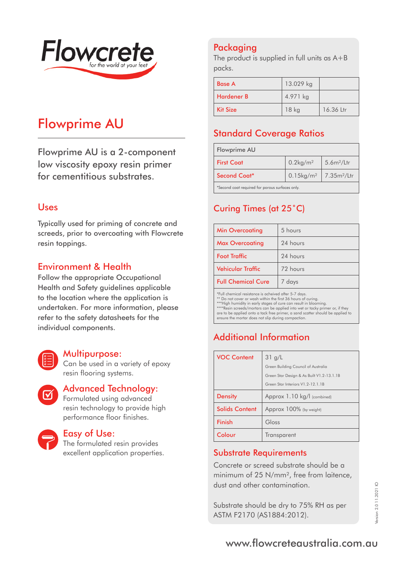

# Flowprime AU

Flowprime AU is a 2-component low viscosity epoxy resin primer for cementitious substrates.

### Uses

Typically used for priming of concrete and screeds, prior to overcoating with Flowcrete resin toppings.

### Environment & Health

Follow the appropriate Occupational Health and Safety guidelines applicable to the location where the application is undertaken. For more information, please refer to the safety datasheets for the individual components.



#### Multipurpose:

Can be used in a variety of epoxy resin flooring systems.



### Advanced Technology:

Formulated using advanced resin technology to provide high performance floor finishes.



### Easy of Use:

The formulated resin provides excellent application properties.

## Packaging

The product is supplied in full units as A+B packs.

| <b>Base A</b>     | 13.029 kg |           |
|-------------------|-----------|-----------|
| <b>Hardener B</b> | 4.971 kg  |           |
| <b>Kit Size</b>   | $18$ kg   | 16.36 Ltr |

## Standard Coverage Ratios

| Flowprime AU                                    |                                               |                        |
|-------------------------------------------------|-----------------------------------------------|------------------------|
| <b>First Coat</b>                               | $0.2$ kg/m <sup>2</sup>                       | 5.6m <sup>2</sup> /Ltr |
| Second Coat*                                    | $0.15\text{kg/m}^2$   7.35m <sup>2</sup> /Ltr |                        |
| *Second coat required for porous surfaces only. |                                               |                        |

## Curing Times (at 25˚C)

| <b>Min Overcoating</b>    | 5 hours  |
|---------------------------|----------|
| <b>Max Overcoating</b>    | 24 hours |
| <b>Foot Traffic</b>       | 24 hours |
| Vehicular Traffic         | 72 hours |
| <b>Full Chemical Cure</b> | 7 days   |

\*Full chemical resistance is acheived after 5-7 days. \*\* Do not cover or wash within the first 36 hours of curing. \*\*\*High humidity in early stages of cure can result in blooming. \*\*\*\*Resin screeds/mortars can be applied into wet or tacky primer or, if they are to be applied onto a tack free primer, a sand scatter should be applied to ensure the mortar does not slip during compaction.

## Additional Information

| <b>VOC Content</b>    | $31$ g/L                                  |  |
|-----------------------|-------------------------------------------|--|
|                       | Green Building Council of Australia       |  |
|                       | Green Star Design & As Built V1.2-13.1.1B |  |
|                       | Green Star Interiors V1.2-12.1.1B         |  |
| <b>Density</b>        | Approx 1.10 kg/l (combined)               |  |
| <b>Solids Content</b> | Approx 100% (by weight)                   |  |
| Finish                | Gloss                                     |  |
| Colour                | Transparent                               |  |

### Substrate Requirements

Concrete or screed substrate should be a minimum of 25 N/mm², free from laitence, dust and other contamination.

Substrate should be dry to 75% RH as per ASTM F2170 (AS1884:2012).

## www.flowcreteaustralia.com.au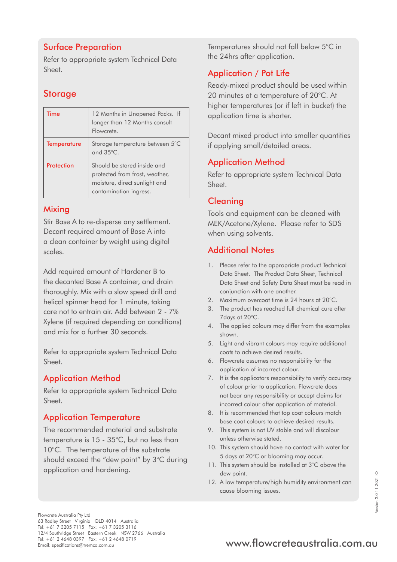## Surface Preparation

Refer to appropriate system Technical Data Sheet.

### **Storage**

| Time               | 12 Months in Unopened Packs. If<br>longer than 12 Months consult<br>Flowcrete.                                           |
|--------------------|--------------------------------------------------------------------------------------------------------------------------|
| <b>Temperature</b> | Storage temperature between 5°C<br>and $35^{\circ}$ C.                                                                   |
| Protection         | Should be stored inside and<br>protected from frost, weather,<br>moisture, direct sunlight and<br>contamination ingress. |

### **Mixing**

Stir Base A to re-disperse any settlement. Decant required amount of Base A into a clean container by weight using digital scales.

Add required amount of Hardener B to the decanted Base A container, and drain thoroughly. Mix with a slow speed drill and helical spinner head for 1 minute, taking care not to entrain air. Add between 2 - 7% Xylene (if required depending on conditions) and mix for a further 30 seconds.

Refer to appropriate system Technical Data Sheet.

### Application Method

Refer to appropriate system Technical Data Sheet.

### Application Temperature

The recommended material and substrate temperature is 15 - 35°C, but no less than 10°C. The temperature of the substrate should exceed the "dew point" by 3°C during application and hardening.

Temperatures should not fall below 5°C in the 24hrs after application.

## Application / Pot Life

Ready-mixed product should be used within 20 minutes at a temperature of 20°C. At higher temperatures (or if left in bucket) the application time is shorter.

Decant mixed product into smaller quantities if applying small/detailed areas.

### Application Method

Refer to appropriate system Technical Data Sheet.

### **Cleaning**

Tools and equipment can be cleaned with MEK/Acetone/Xylene. Please refer to SDS when using solvents.

## Additional Notes

- 1. Please refer to the appropriate product Technical Data Sheet. The Product Data Sheet, Technical Data Sheet and Safety Data Sheet must be read in conjunction with one another.
- 2. Maximum overcoat time is 24 hours at 20°C.
- 3. The product has reached full chemical cure after 7days at 20°C.
- 4. The applied colours may differ from the examples shown.
- 5. Light and vibrant colours may require additional coats to achieve desired results.
- 6. Flowcrete assumes no responsibility for the application of incorrect colour.
- 7. It is the applicators responsibility to verify accuracy of colour prior to application. Flowcrete does not bear any responsibility or accept claims for incorrect colour after application of material.
- 8. It is recommended that top coat colours match base coat colours to achieve desired results.
- 9. This system is not UV stable and will discolour unless otherwise stated.
- 10. This system should have no contact with water for 5 days at 20°C or blooming may occur.
- 11. This system should be installed at 3°C above the dew point.
- 12. A low temperature/high humidity environment can cause blooming issues.